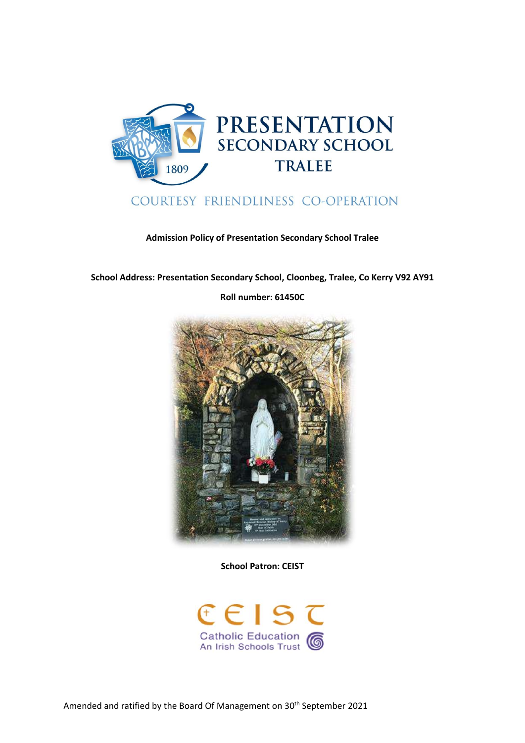

# COURTESY FRIENDLINESS CO-OPERATION

**Admission Policy of Presentation Secondary School Tralee** 

**School Address: Presentation Secondary School, Cloonbeg, Tralee, Co Kerry V92 AY91** 

**Roll number: 61450C** 



**School Patron: CEIST** 

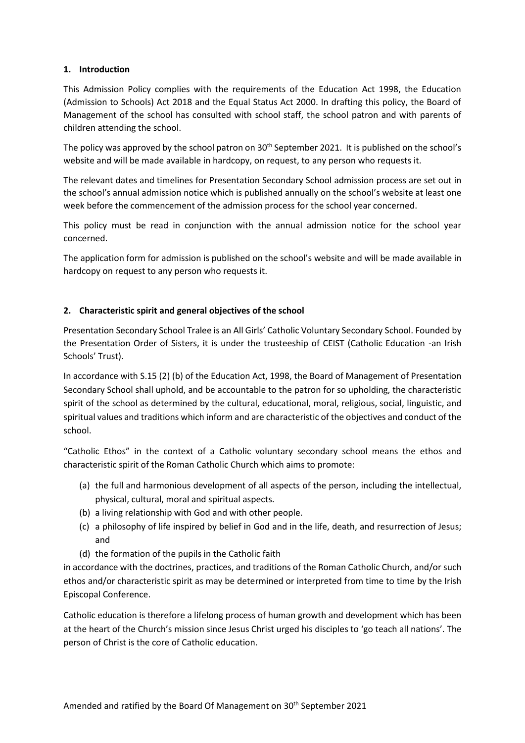# **1. Introduction**

This Admission Policy complies with the requirements of the Education Act 1998, the Education (Admission to Schools) Act 2018 and the Equal Status Act 2000. In drafting this policy, the Board of Management of the school has consulted with school staff, the school patron and with parents of children attending the school.

The policy was approved by the school patron on  $30<sup>th</sup>$  September 2021. It is published on the school's website and will be made available in hardcopy, on request, to any person who requests it.

The relevant dates and timelines for Presentation Secondary School admission process are set out in the school's annual admission notice which is published annually on the school's website at least one week before the commencement of the admission process for the school year concerned.

This policy must be read in conjunction with the annual admission notice for the school year concerned.

The application form for admission is published on the school's website and will be made available in hardcopy on request to any person who requests it.

# **2. Characteristic spirit and general objectives of the school**

Presentation Secondary School Tralee is an All Girls' Catholic Voluntary Secondary School. Founded by the Presentation Order of Sisters, it is under the trusteeship of CEIST (Catholic Education -an Irish Schools' Trust).

In accordance with S.15 (2) (b) of the Education Act, 1998, the Board of Management of Presentation Secondary School shall uphold, and be accountable to the patron for so upholding, the characteristic spirit of the school as determined by the cultural, educational, moral, religious, social, linguistic, and spiritual values and traditions which inform and are characteristic of the objectives and conduct of the school.

"Catholic Ethos" in the context of a Catholic voluntary secondary school means the ethos and characteristic spirit of the Roman Catholic Church which aims to promote:

- (a) the full and harmonious development of all aspects of the person, including the intellectual, physical, cultural, moral and spiritual aspects.
- (b) a living relationship with God and with other people.
- (c) a philosophy of life inspired by belief in God and in the life, death, and resurrection of Jesus; and
- (d) the formation of the pupils in the Catholic faith

in accordance with the doctrines, practices, and traditions of the Roman Catholic Church, and/or such ethos and/or characteristic spirit as may be determined or interpreted from time to time by the Irish Episcopal Conference.

Catholic education is therefore a lifelong process of human growth and development which has been at the heart of the Church's mission since Jesus Christ urged his disciples to 'go teach all nations'. The person of Christ is the core of Catholic education.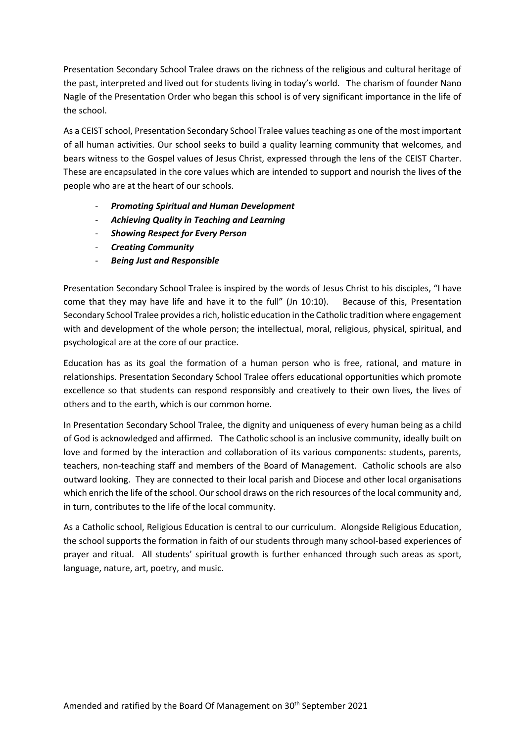Presentation Secondary School Tralee draws on the richness of the religious and cultural heritage of the past, interpreted and lived out for students living in today's world. The charism of founder Nano Nagle of the Presentation Order who began this school is of very significant importance in the life of the school.

As a CEIST school, Presentation Secondary School Tralee values teaching as one of the most important of all human activities. Our school seeks to build a quality learning community that welcomes, and bears witness to the Gospel values of Jesus Christ, expressed through the lens of the CEIST Charter. These are encapsulated in the core values which are intended to support and nourish the lives of the people who are at the heart of our schools.

- *Promoting Spiritual and Human Development*
- *Achieving Quality in Teaching and Learning*
- *Showing Respect for Every Person*
- *Creating Community*
- *Being Just and Responsible*

Presentation Secondary School Tralee is inspired by the words of Jesus Christ to his disciples, "I have come that they may have life and have it to the full" (Jn 10:10). Because of this, Presentation Secondary School Tralee provides a rich, holistic education in the Catholic tradition where engagement with and development of the whole person; the intellectual, moral, religious, physical, spiritual, and psychological are at the core of our practice.

Education has as its goal the formation of a human person who is free, rational, and mature in relationships. Presentation Secondary School Tralee offers educational opportunities which promote excellence so that students can respond responsibly and creatively to their own lives, the lives of others and to the earth, which is our common home.

In Presentation Secondary School Tralee, the dignity and uniqueness of every human being as a child of God is acknowledged and affirmed. The Catholic school is an inclusive community, ideally built on love and formed by the interaction and collaboration of its various components: students, parents, teachers, non-teaching staff and members of the Board of Management. Catholic schools are also outward looking. They are connected to their local parish and Diocese and other local organisations which enrich the life of the school. Our school draws on the rich resources of the local community and, in turn, contributes to the life of the local community.

As a Catholic school, Religious Education is central to our curriculum. Alongside Religious Education, the school supports the formation in faith of our students through many school-based experiences of prayer and ritual. All students' spiritual growth is further enhanced through such areas as sport, language, nature, art, poetry, and music.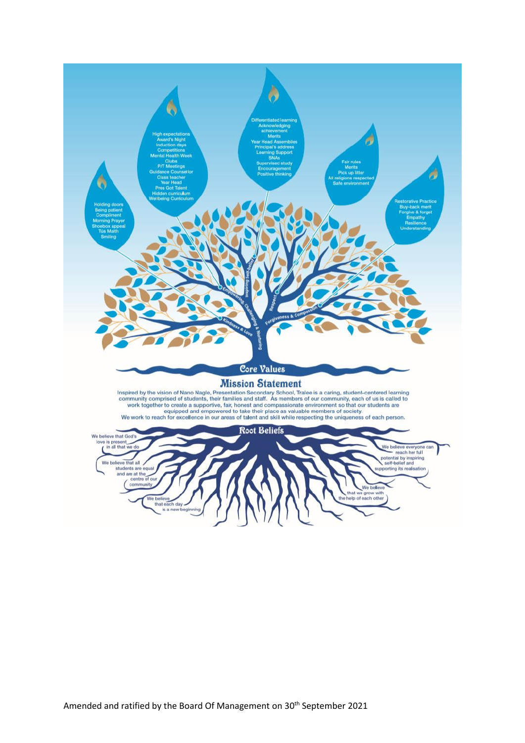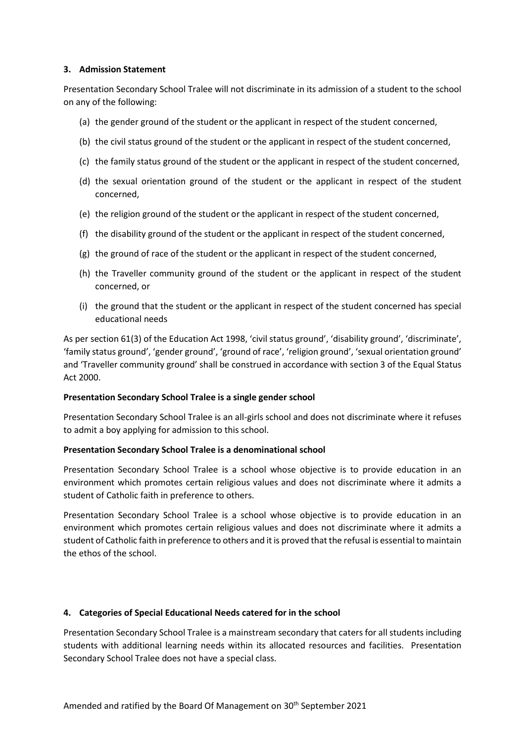#### **3. Admission Statement**

Presentation Secondary School Tralee will not discriminate in its admission of a student to the school on any of the following:

- (a) the gender ground of the student or the applicant in respect of the student concerned,
- (b) the civil status ground of the student or the applicant in respect of the student concerned,
- (c) the family status ground of the student or the applicant in respect of the student concerned,
- (d) the sexual orientation ground of the student or the applicant in respect of the student concerned,
- (e) the religion ground of the student or the applicant in respect of the student concerned,
- (f) the disability ground of the student or the applicant in respect of the student concerned,
- (g) the ground of race of the student or the applicant in respect of the student concerned,
- (h) the Traveller community ground of the student or the applicant in respect of the student concerned, or
- (i) the ground that the student or the applicant in respect of the student concerned has special educational needs

As per section 61(3) of the Education Act 1998, 'civil status ground', 'disability ground', 'discriminate', 'family status ground', 'gender ground', 'ground of race', 'religion ground', 'sexual orientation ground' and 'Traveller community ground' shall be construed in accordance with section 3 of the Equal Status Act 2000.

#### **Presentation Secondary School Tralee is a single gender school**

Presentation Secondary School Tralee is an all-girls school and does not discriminate where it refuses to admit a boy applying for admission to this school.

#### **Presentation Secondary School Tralee is a denominational school**

Presentation Secondary School Tralee is a school whose objective is to provide education in an environment which promotes certain religious values and does not discriminate where it admits a student of Catholic faith in preference to others.

Presentation Secondary School Tralee is a school whose objective is to provide education in an environment which promotes certain religious values and does not discriminate where it admits a student of Catholic faith in preference to others and it is proved that the refusal is essential to maintain the ethos of the school.

#### **4. Categories of Special Educational Needs catered for in the school**

Presentation Secondary School Tralee is a mainstream secondary that caters for all students including students with additional learning needs within its allocated resources and facilities. Presentation Secondary School Tralee does not have a special class.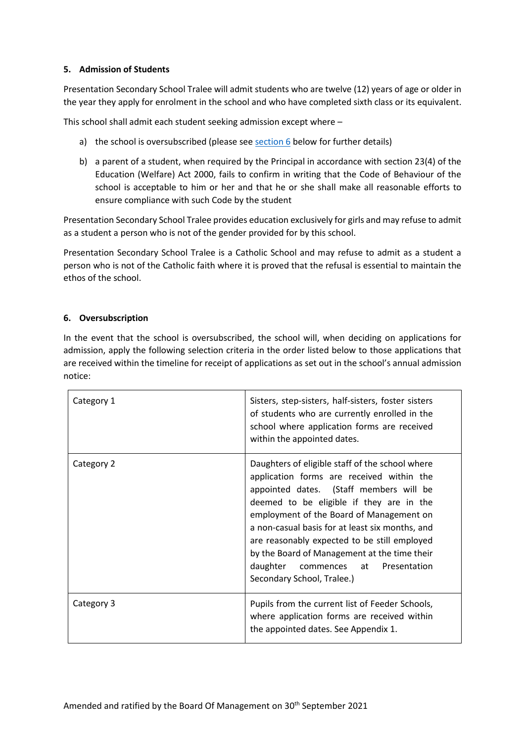# **5. Admission of Students**

Presentation Secondary School Tralee will admit students who are twelve (12) years of age or older in the year they apply for enrolment in the school and who have completed sixth class or its equivalent.

This school shall admit each student seeking admission except where –

- a) the school is oversubscribed (please see  $section 6$  below for further details)
- b) a parent of a student, when required by the Principal in accordance with section 23(4) of the Education (Welfare) Act 2000, fails to confirm in writing that the Code of Behaviour of the school is acceptable to him or her and that he or she shall make all reasonable efforts to ensure compliance with such Code by the student

Presentation Secondary School Tralee provides education exclusively for girls and may refuse to admit as a student a person who is not of the gender provided for by this school.

Presentation Secondary School Tralee is a Catholic School and may refuse to admit as a student a person who is not of the Catholic faith where it is proved that the refusal is essential to maintain the ethos of the school.

#### <span id="page-5-0"></span>**6. Oversubscription**

In the event that the school is oversubscribed, the school will, when deciding on applications for admission, apply the following selection criteria in the order listed below to those applications that are received within the timeline for receipt of applications as set out in the school's annual admission notice:

| Category 1 | Sisters, step-sisters, half-sisters, foster sisters<br>of students who are currently enrolled in the<br>school where application forms are received<br>within the appointed dates.                                                                                                                                                                                                                                                                           |
|------------|--------------------------------------------------------------------------------------------------------------------------------------------------------------------------------------------------------------------------------------------------------------------------------------------------------------------------------------------------------------------------------------------------------------------------------------------------------------|
| Category 2 | Daughters of eligible staff of the school where<br>application forms are received within the<br>appointed dates. (Staff members will be<br>deemed to be eligible if they are in the<br>employment of the Board of Management on<br>a non-casual basis for at least six months, and<br>are reasonably expected to be still employed<br>by the Board of Management at the time their<br>daughter<br>commences at<br>Presentation<br>Secondary School, Tralee.) |
| Category 3 | Pupils from the current list of Feeder Schools,<br>where application forms are received within<br>the appointed dates. See Appendix 1.                                                                                                                                                                                                                                                                                                                       |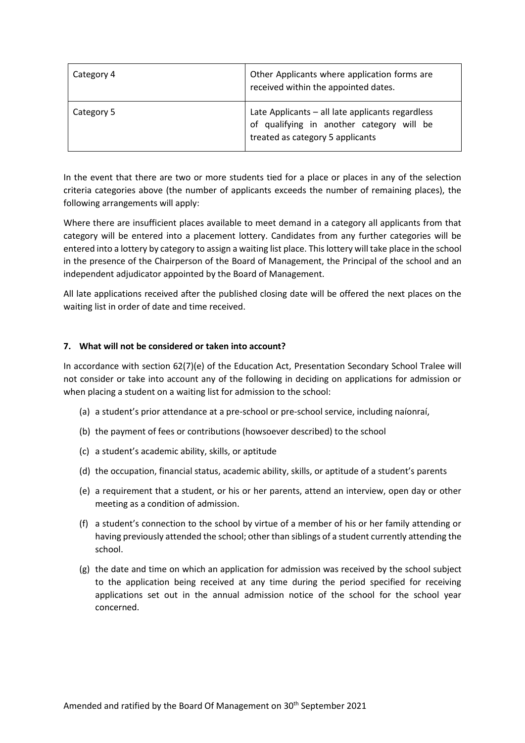| Category 4 | Other Applicants where application forms are<br>received within the appointed dates.                                              |
|------------|-----------------------------------------------------------------------------------------------------------------------------------|
| Category 5 | Late Applicants - all late applicants regardless<br>of qualifying in another category will be<br>treated as category 5 applicants |

In the event that there are two or more students tied for a place or places in any of the selection criteria categories above (the number of applicants exceeds the number of remaining places), the following arrangements will apply:

Where there are insufficient places available to meet demand in a category all applicants from that category will be entered into a placement lottery. Candidates from any further categories will be entered into a lottery by category to assign a waiting list place. This lottery will take place in the school in the presence of the Chairperson of the Board of Management, the Principal of the school and an independent adjudicator appointed by the Board of Management.

All late applications received after the published closing date will be offered the next places on the waiting list in order of date and time received.

#### **7. What will not be considered or taken into account?**

In accordance with section 62(7)(e) of the Education Act, Presentation Secondary School Tralee will not consider or take into account any of the following in deciding on applications for admission or when placing a student on a waiting list for admission to the school:

- (a) a student's prior attendance at a pre-school or pre-school service, including naíonraí,
- (b) the payment of fees or contributions (howsoever described) to the school
- (c) a student's academic ability, skills, or aptitude
- (d) the occupation, financial status, academic ability, skills, or aptitude of a student's parents
- (e) a requirement that a student, or his or her parents, attend an interview, open day or other meeting as a condition of admission.
- (f) a student's connection to the school by virtue of a member of his or her family attending or having previously attended the school; other than siblings of a student currently attending the school.
- (g) the date and time on which an application for admission was received by the school subject to the application being received at any time during the period specified for receiving applications set out in the annual admission notice of the school for the school year concerned.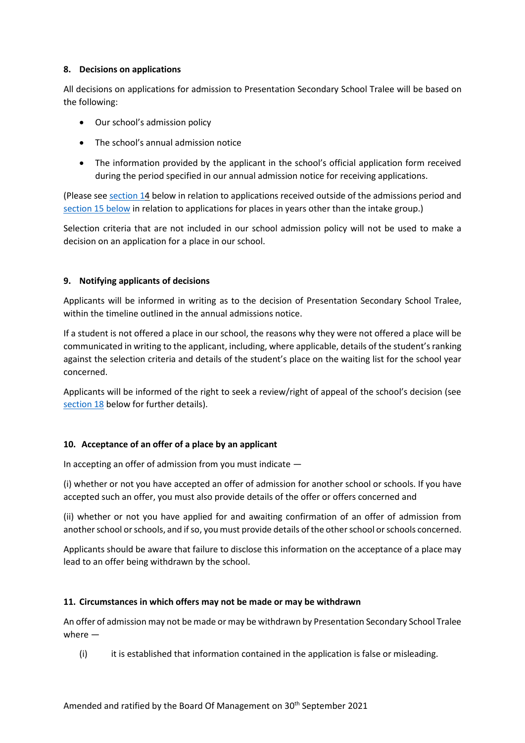# **8. Decisions on applications**

All decisions on applications for admission to Presentation Secondary School Tralee will be based on the following:

- Our school's admission policy
- The school's annual admission notice
- The information provided by the applicant in the school's official application form received during the period specified in our annual admission notice for receiving applications.

(Please see section 14 below in relation to applications received outside of the admissions period and section 15 below in relation to applications for places in years other than the intake group.)

Selection criteria that are not included in our school admission policy will not be used to make a decision on an application for a place in our school.

# **9. Notifying applicants of decisions**

Applicants will be informed in writing as to the decision of Presentation Secondary School Tralee, within the timeline outlined in the annual admissions notice.

If a student is not offered a place in our school, the reasons why they were not offered a place will be communicated in writing to the applicant, including, where applicable, details of the student's ranking against the selection criteria and details of the student's place on the waiting list for the school year concerned.

Applicants will be informed of the right to seek a review/right of appeal of the school's decision (see [section 18](#page-10-0) below for further details).

# **10. Acceptance of an offer of a place by an applicant**

In accepting an offer of admission from you must indicate —

(i) whether or not you have accepted an offer of admission for another school or schools. If you have accepted such an offer, you must also provide details of the offer or offers concerned and

(ii) whether or not you have applied for and awaiting confirmation of an offer of admission from another school or schools, and if so, you must provide details of the other school or schools concerned.

Applicants should be aware that failure to disclose this information on the acceptance of a place may lead to an offer being withdrawn by the school.

#### **11. Circumstances in which offers may not be made or may be withdrawn**

An offer of admission may not be made or may be withdrawn by Presentation Secondary School Tralee where —

 $(i)$  it is established that information contained in the application is false or misleading.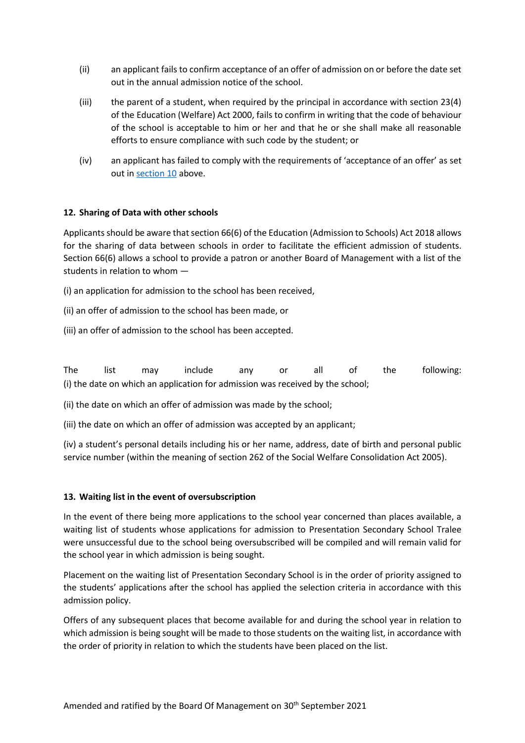- (ii) an applicant fails to confirm acceptance of an offer of admission on or before the date set out in the annual admission notice of the school.
- (iii) the parent of a student, when required by the principal in accordance with section 23(4) of the Education (Welfare) Act 2000, fails to confirm in writing that the code of behaviour of the school is acceptable to him or her and that he or she shall make all reasonable efforts to ensure compliance with such code by the student; or
- (iv) an applicant has failed to comply with the requirements of 'acceptance of an offer' as set out in section 10 above.

# **12. Sharing of Data with other schools**

Applicants should be aware that section 66(6) of the Education (Admission to Schools) Act 2018 allows for the sharing of data between schools in order to facilitate the efficient admission of students. Section 66(6) allows a school to provide a patron or another Board of Management with a list of the students in relation to whom —

- (i) an application for admission to the school has been received,
- (ii) an offer of admission to the school has been made, or
- (iii) an offer of admission to the school has been accepted.

The list may include any or all of the following: (i) the date on which an application for admission was received by the school;

(ii) the date on which an offer of admission was made by the school;

(iii) the date on which an offer of admission was accepted by an applicant;

(iv) a student's personal details including his or her name, address, date of birth and personal public service number (within the meaning of section 262 of the Social Welfare Consolidation Act 2005).

#### **13. Waiting list in the event of oversubscription**

In the event of there being more applications to the school year concerned than places available, a waiting list of students whose applications for admission to Presentation Secondary School Tralee were unsuccessful due to the school being oversubscribed will be compiled and will remain valid for the school year in which admission is being sought.

Placement on the waiting list of Presentation Secondary School is in the order of priority assigned to the students' applications after the school has applied the selection criteria in accordance with this admission policy.

Offers of any subsequent places that become available for and during the school year in relation to which admission is being sought will be made to those students on the waiting list, in accordance with the order of priority in relation to which the students have been placed on the list.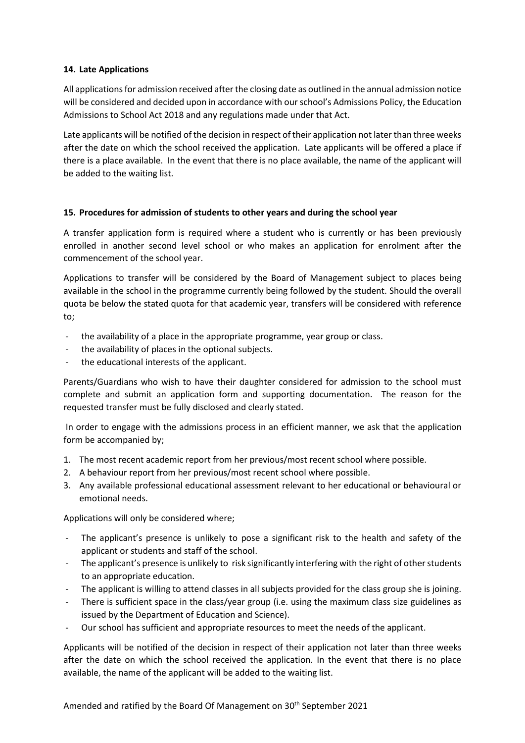# **14. Late Applications**

All applications for admission received after the closing date as outlined in the annual admission notice will be considered and decided upon in accordance with our school's Admissions Policy, the Education Admissions to School Act 2018 and any regulations made under that Act.

Late applicants will be notified of the decision in respect of their application not later than three weeks after the date on which the school received the application. Late applicants will be offered a place if there is a place available. In the event that there is no place available, the name of the applicant will be added to the waiting list.

# **15. Procedures for admission of students to other years and during the school year**

A transfer application form is required where a student who is currently or has been previously enrolled in another second level school or who makes an application for enrolment after the commencement of the school year.

Applications to transfer will be considered by the Board of Management subject to places being available in the school in the programme currently being followed by the student. Should the overall quota be below the stated quota for that academic year, transfers will be considered with reference to;

- the availability of a place in the appropriate programme, year group or class.
- the availability of places in the optional subjects.
- the educational interests of the applicant.

Parents/Guardians who wish to have their daughter considered for admission to the school must complete and submit an application form and supporting documentation. The reason for the requested transfer must be fully disclosed and clearly stated.

 In order to engage with the admissions process in an efficient manner, we ask that the application form be accompanied by;

- 1. The most recent academic report from her previous/most recent school where possible.
- 2. A behaviour report from her previous/most recent school where possible.
- 3. Any available professional educational assessment relevant to her educational or behavioural or emotional needs.

Applications will only be considered where;

- The applicant's presence is unlikely to pose a significant risk to the health and safety of the applicant or students and staff of the school.
- The applicant's presence is unlikely to risk significantly interfering with the right of other students to an appropriate education.
- The applicant is willing to attend classes in all subjects provided for the class group she is joining.
- There is sufficient space in the class/year group (i.e. using the maximum class size guidelines as issued by the Department of Education and Science).
- Our school has sufficient and appropriate resources to meet the needs of the applicant.

Applicants will be notified of the decision in respect of their application not later than three weeks after the date on which the school received the application. In the event that there is no place available, the name of the applicant will be added to the waiting list.

Amended and ratified by the Board Of Management on 30<sup>th</sup> September 2021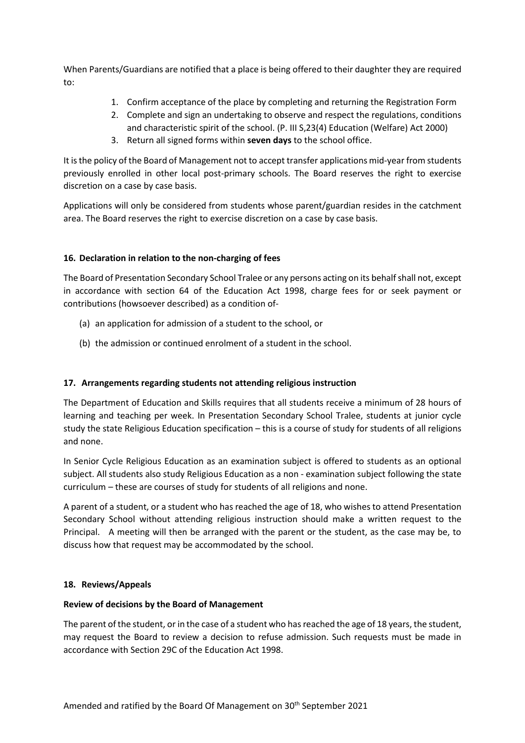When Parents/Guardians are notified that a place is being offered to their daughter they are required to:

- 1. Confirm acceptance of the place by completing and returning the Registration Form
- 2. Complete and sign an undertaking to observe and respect the regulations, conditions and characteristic spirit of the school. (P. III S,23(4) Education (Welfare) Act 2000)
- 3. Return all signed forms within **seven days** to the school office.

It is the policy of the Board of Management not to accept transfer applications mid-year from students previously enrolled in other local post-primary schools. The Board reserves the right to exercise discretion on a case by case basis.

Applications will only be considered from students whose parent/guardian resides in the catchment area. The Board reserves the right to exercise discretion on a case by case basis.

# **16. Declaration in relation to the non-charging of fees**

The Board of Presentation Secondary School Tralee or any persons acting on its behalf shall not, except in accordance with section 64 of the Education Act 1998, charge fees for or seek payment or contributions (howsoever described) as a condition of-

- (a) an application for admission of a student to the school, or
- (b) the admission or continued enrolment of a student in the school.

# **17. Arrangements regarding students not attending religious instruction**

The Department of Education and Skills requires that all students receive a minimum of 28 hours of learning and teaching per week. In Presentation Secondary School Tralee, students at junior cycle study the state Religious Education specification – this is a course of study for students of all religions and none.

In Senior Cycle Religious Education as an examination subject is offered to students as an optional subject. All students also study Religious Education as a non - examination subject following the state curriculum – these are courses of study for students of all religions and none.

<span id="page-10-0"></span>A parent of a student, or a student who has reached the age of 18, who wishes to attend Presentation Secondary School without attending religious instruction should make a written request to the Principal. A meeting will then be arranged with the parent or the student, as the case may be, to discuss how that request may be accommodated by the school.

#### **18. Reviews/Appeals**

#### **Review of decisions by the Board of Management**

The parent of the student, or in the case of a student who has reached the age of 18 years, the student, may request the Board to review a decision to refuse admission. Such requests must be made in accordance with Section 29C of the Education Act 1998.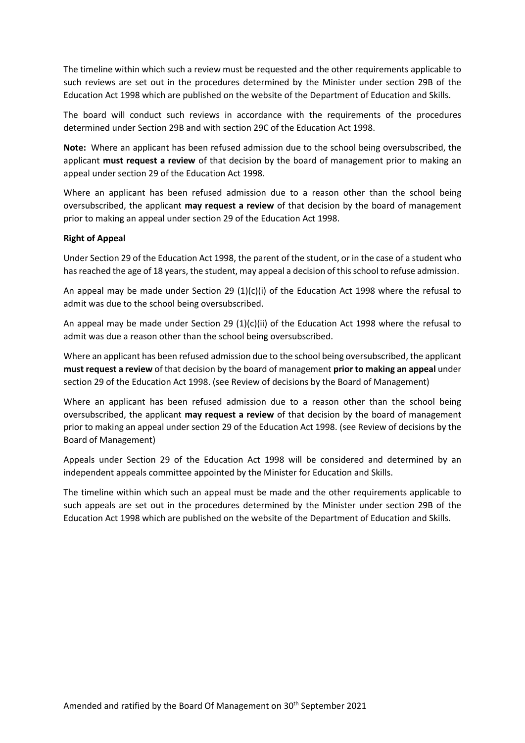The timeline within which such a review must be requested and the other requirements applicable to such reviews are set out in the procedures determined by the Minister under section 29B of the Education Act 1998 which are published on the website of the Department of Education and Skills.

The board will conduct such reviews in accordance with the requirements of the procedures determined under Section 29B and with section 29C of the Education Act 1998.

**Note:** Where an applicant has been refused admission due to the school being oversubscribed, the applicant **must request a review** of that decision by the board of management prior to making an appeal under section 29 of the Education Act 1998.

Where an applicant has been refused admission due to a reason other than the school being oversubscribed, the applicant **may request a review** of that decision by the board of management prior to making an appeal under section 29 of the Education Act 1998.

#### **Right of Appeal**

Under Section 29 of the Education Act 1998, the parent of the student, or in the case of a student who has reached the age of 18 years, the student, may appeal a decision of this school to refuse admission.

An appeal may be made under Section 29  $(1)(c)(i)$  of the Education Act 1998 where the refusal to admit was due to the school being oversubscribed.

An appeal may be made under Section 29 (1)(c)(ii) of the Education Act 1998 where the refusal to admit was due a reason other than the school being oversubscribed.

Where an applicant has been refused admission due to the school being oversubscribed, the applicant **must request a review** of that decision by the board of management **prior to making an appeal** under section 29 of the Education Act 1998. (see Review of decisions by the Board of Management)

Where an applicant has been refused admission due to a reason other than the school being oversubscribed, the applicant **may request a review** of that decision by the board of management prior to making an appeal under section 29 of the Education Act 1998. (see Review of decisions by the Board of Management)

Appeals under Section 29 of the Education Act 1998 will be considered and determined by an independent appeals committee appointed by the Minister for Education and Skills.

The timeline within which such an appeal must be made and the other requirements applicable to such appeals are set out in the procedures determined by the Minister under section 29B of the Education Act 1998 which are published on the website of the Department of Education and Skills.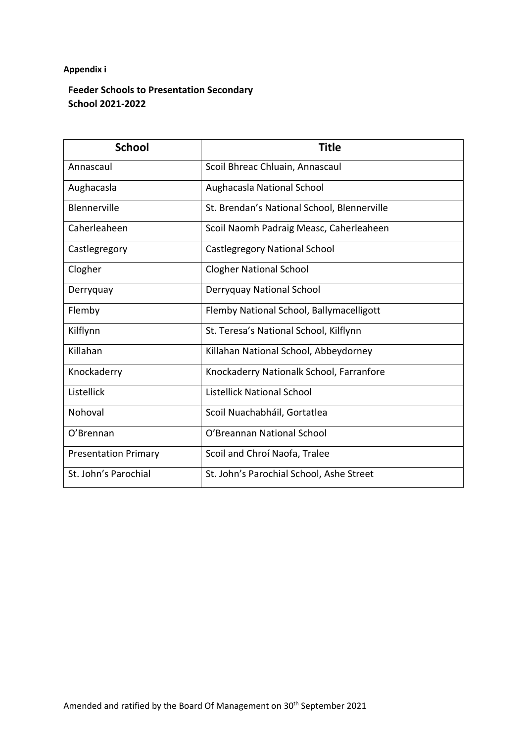# **Appendix i**

# **Feeder Schools to Presentation Secondary School 2021-2022**

| <b>School</b>               | <b>Title</b>                                |
|-----------------------------|---------------------------------------------|
| Annascaul                   | Scoil Bhreac Chluain, Annascaul             |
| Aughacasla                  | Aughacasla National School                  |
| Blennerville                | St. Brendan's National School, Blennerville |
| Caherleaheen                | Scoil Naomh Padraig Measc, Caherleaheen     |
| Castlegregory               | <b>Castlegregory National School</b>        |
| Clogher                     | <b>Clogher National School</b>              |
| Derryquay                   | Derryquay National School                   |
| Flemby                      | Flemby National School, Ballymacelligott    |
| Kilflynn                    | St. Teresa's National School, Kilflynn      |
| Killahan                    | Killahan National School, Abbeydorney       |
| Knockaderry                 | Knockaderry Nationalk School, Farranfore    |
| Listellick                  | <b>Listellick National School</b>           |
| Nohoval                     | Scoil Nuachabháil, Gortatlea                |
| O'Brennan                   | O'Breannan National School                  |
| <b>Presentation Primary</b> | Scoil and Chroí Naofa, Tralee               |
| St. John's Parochial        | St. John's Parochial School, Ashe Street    |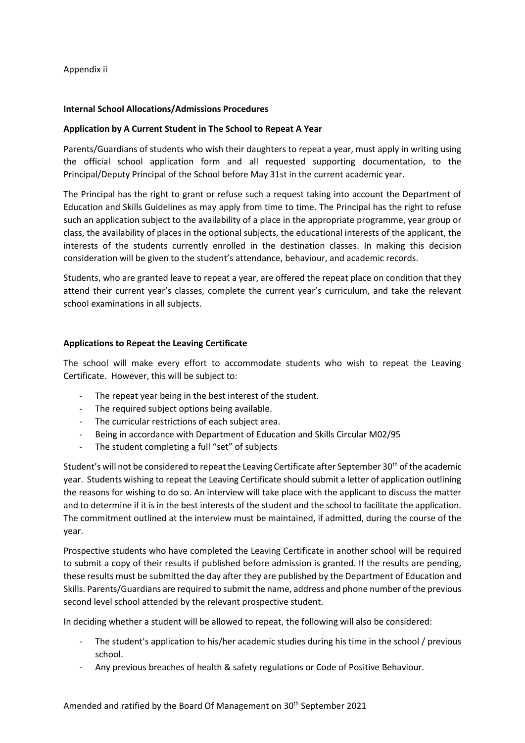# Appendix ii

# **Internal School Allocations/Admissions Procedures**

# **Application by A Current Student in The School to Repeat A Year**

Parents/Guardians of students who wish their daughters to repeat a year, must apply in writing using the official school application form and all requested supporting documentation, to the Principal/Deputy Principal of the School before May 31st in the current academic year.

The Principal has the right to grant or refuse such a request taking into account the Department of Education and Skills Guidelines as may apply from time to time. The Principal has the right to refuse such an application subject to the availability of a place in the appropriate programme, year group or class, the availability of places in the optional subjects, the educational interests of the applicant, the interests of the students currently enrolled in the destination classes. In making this decision consideration will be given to the student's attendance, behaviour, and academic records.

Students, who are granted leave to repeat a year, are offered the repeat place on condition that they attend their current year's classes, complete the current year's curriculum, and take the relevant school examinations in all subjects.

# **Applications to Repeat the Leaving Certificate**

The school will make every effort to accommodate students who wish to repeat the Leaving Certificate. However, this will be subject to:

- The repeat year being in the best interest of the student.
- The required subject options being available.
- The curricular restrictions of each subject area.
- Being in accordance with Department of Education and Skills Circular M02/95
- The student completing a full "set" of subjects

Student's will not be considered to repeat the Leaving Certificate after September 30th of the academic year. Students wishing to repeat the Leaving Certificate should submit a letter of application outlining the reasons for wishing to do so. An interview will take place with the applicant to discuss the matter and to determine if it is in the best interests of the student and the school to facilitate the application. The commitment outlined at the interview must be maintained, if admitted, during the course of the year.

Prospective students who have completed the Leaving Certificate in another school will be required to submit a copy of their results if published before admission is granted. If the results are pending, these results must be submitted the day after they are published by the Department of Education and Skills. Parents/Guardians are required to submit the name, address and phone number of the previous second level school attended by the relevant prospective student.

In deciding whether a student will be allowed to repeat, the following will also be considered:

- The student's application to his/her academic studies during his time in the school / previous school.
- Any previous breaches of health & safety regulations or Code of Positive Behaviour.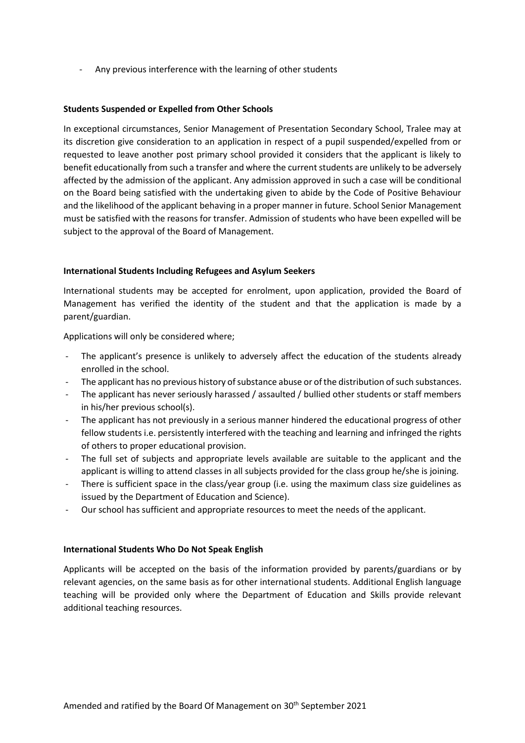- Any previous interference with the learning of other students

# **Students Suspended or Expelled from Other Schools**

In exceptional circumstances, Senior Management of Presentation Secondary School, Tralee may at its discretion give consideration to an application in respect of a pupil suspended/expelled from or requested to leave another post primary school provided it considers that the applicant is likely to benefit educationally from such a transfer and where the current students are unlikely to be adversely affected by the admission of the applicant. Any admission approved in such a case will be conditional on the Board being satisfied with the undertaking given to abide by the Code of Positive Behaviour and the likelihood of the applicant behaving in a proper manner in future. School Senior Management must be satisfied with the reasons for transfer. Admission of students who have been expelled will be subject to the approval of the Board of Management.

# **International Students Including Refugees and Asylum Seekers**

International students may be accepted for enrolment, upon application, provided the Board of Management has verified the identity of the student and that the application is made by a parent/guardian.

Applications will only be considered where;

- The applicant's presence is unlikely to adversely affect the education of the students already enrolled in the school.
- The applicant has no previous history of substance abuse or of the distribution of such substances.
- The applicant has never seriously harassed / assaulted / bullied other students or staff members in his/her previous school(s).
- The applicant has not previously in a serious manner hindered the educational progress of other fellow students i.e. persistently interfered with the teaching and learning and infringed the rights of others to proper educational provision.
- The full set of subjects and appropriate levels available are suitable to the applicant and the applicant is willing to attend classes in all subjects provided for the class group he/she is joining.
- There is sufficient space in the class/year group (i.e. using the maximum class size guidelines as issued by the Department of Education and Science).
- Our school has sufficient and appropriate resources to meet the needs of the applicant.

#### **International Students Who Do Not Speak English**

Applicants will be accepted on the basis of the information provided by parents/guardians or by relevant agencies, on the same basis as for other international students. Additional English language teaching will be provided only where the Department of Education and Skills provide relevant additional teaching resources.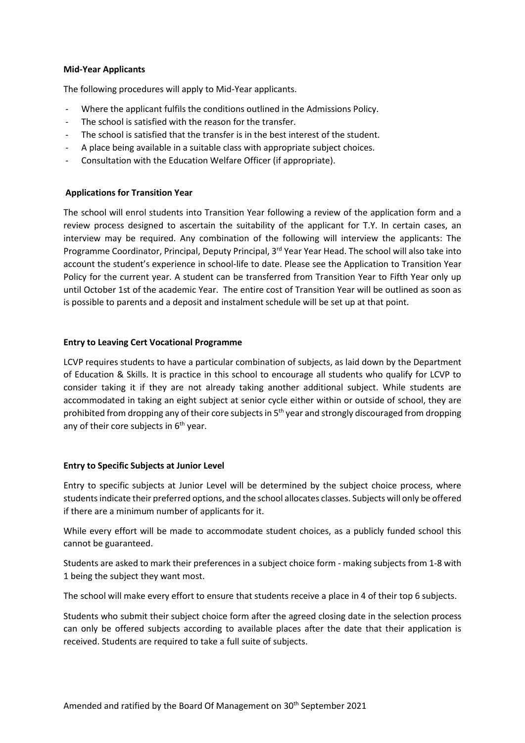# **Mid-Year Applicants**

The following procedures will apply to Mid-Year applicants.

- Where the applicant fulfils the conditions outlined in the Admissions Policy.
- The school is satisfied with the reason for the transfer.
- The school is satisfied that the transfer is in the best interest of the student.
- A place being available in a suitable class with appropriate subject choices.
- Consultation with the Education Welfare Officer (if appropriate).

#### **Applications for Transition Year**

The school will enrol students into Transition Year following a review of the application form and a review process designed to ascertain the suitability of the applicant for T.Y. In certain cases, an interview may be required. Any combination of the following will interview the applicants: The Programme Coordinator, Principal, Deputy Principal, 3<sup>rd</sup> Year Year Head. The school will also take into account the student's experience in school-life to date. Please see the Application to Transition Year Policy for the current year. A student can be transferred from Transition Year to Fifth Year only up until October 1st of the academic Year. The entire cost of Transition Year will be outlined as soon as is possible to parents and a deposit and instalment schedule will be set up at that point.

#### **Entry to Leaving Cert Vocational Programme**

LCVP requires students to have a particular combination of subjects, as laid down by the Department of Education & Skills. It is practice in this school to encourage all students who qualify for LCVP to consider taking it if they are not already taking another additional subject. While students are accommodated in taking an eight subject at senior cycle either within or outside of school, they are prohibited from dropping any of their core subjects in  $5<sup>th</sup>$  year and strongly discouraged from dropping any of their core subjects in  $6<sup>th</sup>$  year.

#### **Entry to Specific Subjects at Junior Level**

Entry to specific subjects at Junior Level will be determined by the subject choice process, where students indicate their preferred options, and the school allocates classes. Subjects will only be offered if there are a minimum number of applicants for it.

While every effort will be made to accommodate student choices, as a publicly funded school this cannot be guaranteed.

Students are asked to mark their preferences in a subject choice form - making subjects from 1-8 with 1 being the subject they want most.

The school will make every effort to ensure that students receive a place in 4 of their top 6 subjects.

Students who submit their subject choice form after the agreed closing date in the selection process can only be offered subjects according to available places after the date that their application is received. Students are required to take a full suite of subjects.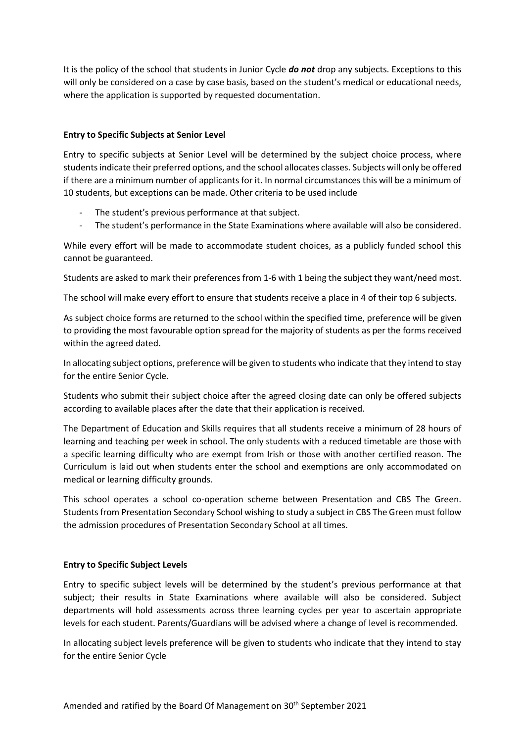It is the policy of the school that students in Junior Cycle *do not* drop any subjects. Exceptions to this will only be considered on a case by case basis, based on the student's medical or educational needs, where the application is supported by requested documentation.

# **Entry to Specific Subjects at Senior Level**

Entry to specific subjects at Senior Level will be determined by the subject choice process, where students indicate their preferred options, and the school allocates classes. Subjects will only be offered if there are a minimum number of applicants for it. In normal circumstances this will be a minimum of 10 students, but exceptions can be made. Other criteria to be used include

- The student's previous performance at that subject.
- The student's performance in the State Examinations where available will also be considered.

While every effort will be made to accommodate student choices, as a publicly funded school this cannot be guaranteed.

Students are asked to mark their preferences from 1-6 with 1 being the subject they want/need most.

The school will make every effort to ensure that students receive a place in 4 of their top 6 subjects.

As subject choice forms are returned to the school within the specified time, preference will be given to providing the most favourable option spread for the majority of students as per the forms received within the agreed dated.

In allocating subject options, preference will be given to students who indicate that they intend to stay for the entire Senior Cycle.

Students who submit their subject choice after the agreed closing date can only be offered subjects according to available places after the date that their application is received.

The Department of Education and Skills requires that all students receive a minimum of 28 hours of learning and teaching per week in school. The only students with a reduced timetable are those with a specific learning difficulty who are exempt from Irish or those with another certified reason. The Curriculum is laid out when students enter the school and exemptions are only accommodated on medical or learning difficulty grounds.

This school operates a school co-operation scheme between Presentation and CBS The Green. Students from Presentation Secondary School wishing to study a subject in CBS The Green must follow the admission procedures of Presentation Secondary School at all times.

#### **Entry to Specific Subject Levels**

Entry to specific subject levels will be determined by the student's previous performance at that subject; their results in State Examinations where available will also be considered. Subject departments will hold assessments across three learning cycles per year to ascertain appropriate levels for each student. Parents/Guardians will be advised where a change of level is recommended.

In allocating subject levels preference will be given to students who indicate that they intend to stay for the entire Senior Cycle